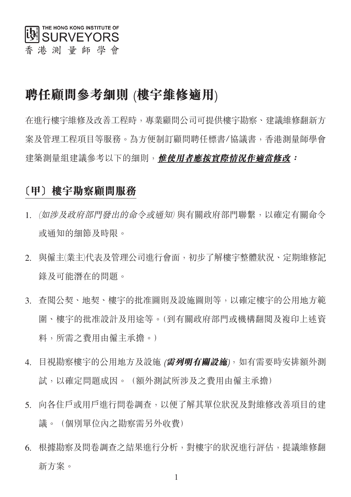

# 聘任顧問參考細則 (樓宇維修適用)

**在淮行樓宇維修及改善工程時, 專業顧問公司可提供樓宇勘察、建議維修翻新方** 案及管理工程項目等服務。為方便制訂顧問聘仟標書/協議書, 香港測量師學會 建築測量組建議參考以下的細則, 惟使用者應按實際情況作適當修改:

### 〔甲〕樓宇勘察顧問服務

- 1. (如涉及政府部門發出的命令或通知)與有關政府部門聯繫,以確定有關命令 或涌知的細節及時限。
- 與僱主(業主)代表及管理公司進行會面,初步了解樓宇整體狀況、定期維修記  $2<sub>1</sub>$ 錄及可能潛在的問題。
- 3. 杳闊公契、地契、樓宇的批准圖則及設施圖則等,以確定樓宇的公用地方範 圍、樓宇的批准設計及用途等。(到有關政府部門或機構翻閲及複印上述資 料,所需之費用由僱主承擔。)
- 目視勘察樓宇的公用地方及設施 (**需列明有關設施**), 如有需要時安排額外測  $\overline{4}$ . 試,以確定問題成因。(額外測試所涉及之費用由僱主承擔)
- 5. 向各住戶或用戶進行問卷調查,以便了解其單位狀況及對維修改善項目的建 議。(個別單位內之勘察需另外收費)
- 根據勘察及問卷調杳之結果進行分析,對樓宇的狀況進行評估,提議維修翻 6. 新方案。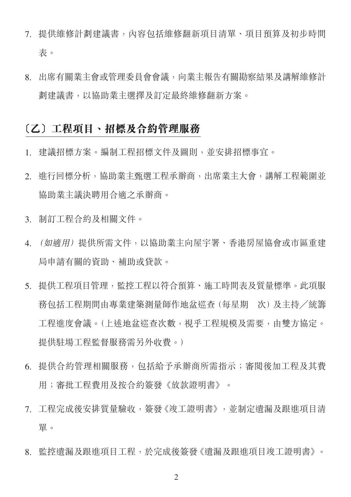- 7. 提供維修計劃建議書, 內容包括維修翻新項目清單、項目預算及初步時間 表。
- 出席有關業主會或管理委員會會議,向業主報告有關勘察結果及講解維修計 8. 劃建議書,以協助業主選擇及訂定最終維修翻新方案。

### **〔乙〕工程項目、招標及合約管理服務**

- 建議招標方案。編制工程招標文件及圖則,並安排招標事宜。  $1_{-}$
- 2. 進行回標分析,協助業主甄選工程承辦商,出席業主大會,講解工程範圍並 協助業主議決聘用合滴之承辦商。
- 3. 制訂工程合約及相關文件。
- (如滴用) 提供所需文件, 以協助業主向屋宇署、香港房屋協會或市區重建  $\overline{4}$ 局申請有關的資助、補助或貸款。
- 提供工程項目管理,監控工程以符合預算、施工時間表及質量標準。此項服  $5<sub>1</sub>$ 務包括工程期間由專業建築測量師作地盆巡查 (每星期 次) 及主持/統籌 工程進度會議。(上述地盆巡查次數,視乎工程規模及需要,由雙方協定。 提供駐場工程監督服務需另外收費。)
- 提供合約管理相關服務, 包括給予承辦商所需指示; 審閲後加工程及其費 6 用;審批工程費用及按合約簽發《放款證明書》。
- 7. 工程完成後安排質量驗收,簽發《竣工證明書》,並制定潰漏及跟進項目清 單。
- 8. 監控遺漏及跟進項目工程,於完成後簽發《遺漏及跟進項目竣工證明書》。

 $\overline{2}$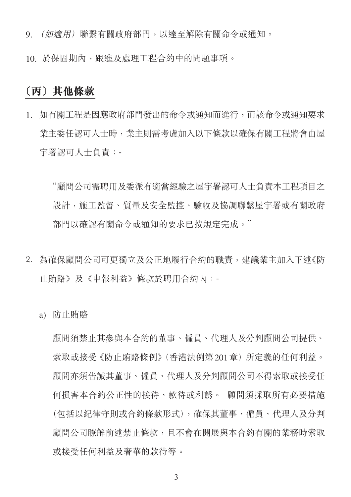- (如摘用) 聯繫有關政府部門,以達至解除有關命令或通知。 9.
- 10. 於保固期內, 跟淮及處理工程合約中的問題事項。

## 〔丙〕其他條款

如有關工程是因應政府部門發出的命令或通知而進行,而該命令或通知要求  $1<sub>1</sub>$ 業主委任認可人士時,業主則需考慮加入以下條款以確保有關工程將會由屋 宇署認可人士負責:-

"顧問公司需聘用及委派有滴常經驗之屋宇署認可人士負責本工程項目之 設計,施工監督、質量及安全監控、驗收及協調聯繫屋宇署或有關政府 部門以確認有關命今或涌知的要求已按規定完成。"

- 2. 為確保顧問公司可更獨立及公正地履行合約的職責,建議業主加入下述《防 止賄賂》及《申報利益》條款於聘用合約內:
	- a) 防止賄賂

顧問須禁止其參與本合約的董事、僱員、代理人及分判顧問公司提供、 索取或接受《防止賄賂條例》(香港法例第201章) 所定義的任何利益。 顧問亦須告誡其董事、僱員、代理人及分判顧問公司不得索取或接受任 何損害本合約公正性的接待、款待或利誘。 顧問須採取所有必要措施 (句括以紀律守則或合約條款形式),確保其董事、僱員、代理人及分判 顧問公司瞭解前述禁止條款,且不會在開展與本合約有關的業務時索取 或接受仟何利益及奢華的款待等。